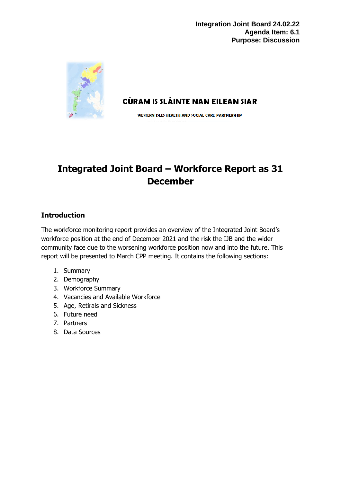

CÙRAM IS SLÀINTE NAN EILEAN SIAR

WESTERN ISLES HEALTH AND SOCIAL CARE PARTNERSHIP

# **Integrated Joint Board – Workforce Report as 31 December**

## **Introduction**

The workforce monitoring report provides an overview of the Integrated Joint Board's workforce position at the end of December 2021 and the risk the IJB and the wider community face due to the worsening workforce position now and into the future. This report will be presented to March CPP meeting. It contains the following sections:

- 1. Summary
- 2. Demography
- 3. Workforce Summary
- 4. Vacancies and Available Workforce
- 5. Age, Retirals and Sickness
- 6. Future need
- 7. Partners
- 8. Data Sources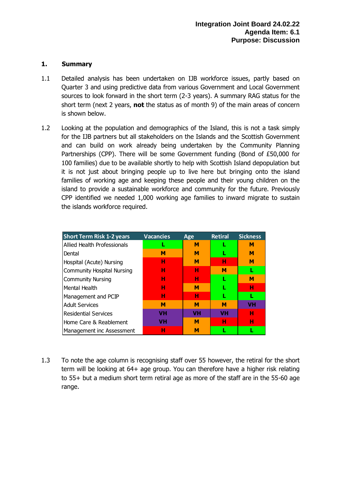#### **1. Summary**

- 1.1 Detailed analysis has been undertaken on IJB workforce issues, partly based on Quarter 3 and using predictive data from various Government and Local Government sources to look forward in the short term (2-3 years). A summary RAG status for the short term (next 2 years, **not** the status as of month 9) of the main areas of concern is shown below.
- 1.2 Looking at the population and demographics of the Island, this is not a task simply for the IJB partners but all stakeholders on the Islands and the Scottish Government and can build on work already being undertaken by the Community Planning Partnerships (CPP). There will be some Government funding (Bond of £50,000 for 100 families) due to be available shortly to help with Scottish Island depopulation but it is not just about bringing people up to live here but bringing onto the island families of working age and keeping these people and their young children on the island to provide a sustainable workforce and community for the future. Previously CPP identified we needed 1,000 working age families to inward migrate to sustain the islands workforce required.

| <b>Short Term Risk 1-2 years</b>  | <b>Vacancies</b> | Age       | <b>Retiral</b> | <b>Sickness</b> |
|-----------------------------------|------------------|-----------|----------------|-----------------|
| Allied Health Professionals       |                  | М         |                | М               |
| Dental                            | м                | М         |                | м               |
| Hospital (Acute) Nursing          | н                | м         | н              | М               |
| <b>Community Hospital Nursing</b> | н                | н         | М              |                 |
| <b>Community Nursing</b>          | н                | н         |                | м               |
| Mental Health                     | н                | м         |                | н               |
| Management and PCIP               | н                | н         | L              | L               |
| <b>Adult Services</b>             | м                | M         | М              | VH              |
| <b>Residential Services</b>       | <b>VH</b>        | <b>VH</b> | <b>VH</b>      | н               |
| Home Care & Reablement            | VH               | M         | н              | н               |
| Management inc Assessment         | н                | М         |                |                 |

1.3 To note the age column is recognising staff over 55 however, the retiral for the short term will be looking at 64+ age group. You can therefore have a higher risk relating to 55+ but a medium short term retiral age as more of the staff are in the 55-60 age range.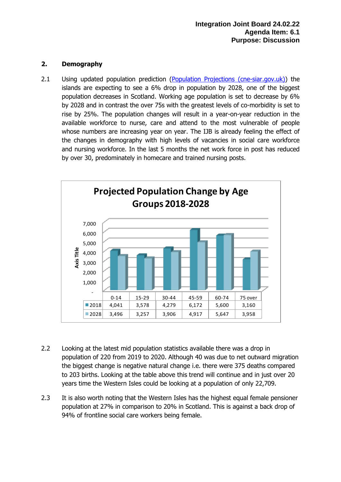## **2. Demography**

2.1 Using updated population prediction [\(Population Projections \(cne-siar.gov.uk\)\)](https://www.cne-siar.gov.uk/strategy-performance-and-research/outer-hebrides-factfile/population/population-projections/) the islands are expecting to see a 6% drop in population by 2028, one of the biggest population decreases in Scotland. Working age population is set to decrease by 6% by 2028 and in contrast the over 75s with the greatest levels of co-morbidity is set to rise by 25%. The population changes will result in a year-on-year reduction in the available workforce to nurse, care and attend to the most vulnerable of people whose numbers are increasing year on year. The IJB is already feeling the effect of the changes in demography with high levels of vacancies in social care workforce and nursing workforce. In the last 5 months the net work force in post has reduced by over 30, predominately in homecare and trained nursing posts.



- 2.2 Looking at the latest mid population statistics available there was a drop in population of 220 from 2019 to 2020. Although 40 was due to net outward migration the biggest change is negative natural change i.e. there were 375 deaths compared to 203 births. Looking at the table above this trend will continue and in just over 20 years time the Western Isles could be looking at a population of only 22,709.
- 2.3 It is also worth noting that the Western Isles has the highest equal female pensioner population at 27% in comparison to 20% in Scotland. This is against a back drop of 94% of frontline social care workers being female.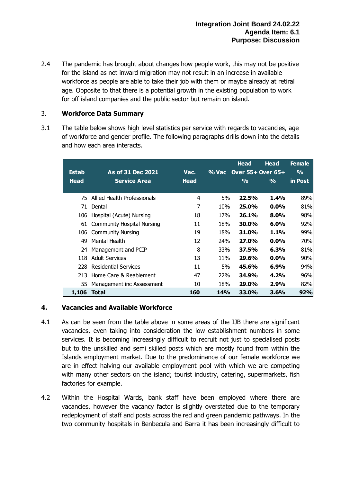2.4 The pandemic has brought about changes how people work, this may not be positive for the island as net inward migration may not result in an increase in available workforce as people are able to take their job with them or maybe already at retiral age. Opposite to that there is a potential growth in the existing population to work for off island companies and the public sector but remain on island.

## 3. **Workforce Data Summary**

3.1 The table below shows high level statistics per service with regards to vacancies, age of workforce and gender profile. The following paragraphs drills down into the details and how each area interacts.

|              |                                   |             |            | <b>Head</b>       | Head          | <b>Female</b> |
|--------------|-----------------------------------|-------------|------------|-------------------|---------------|---------------|
| <b>Estab</b> | As of 31 Dec 2021                 | Vac.        | % Vac      | Over 55+ Over 65+ |               | $\frac{1}{2}$ |
| <b>Head</b>  | <b>Service Area</b>               | <b>Head</b> |            | $\frac{0}{0}$     | $\frac{9}{6}$ | in Post       |
|              |                                   |             |            |                   |               |               |
| 75           | Allied Health Professionals       | 4           | 5%         | 22.5%             | 1.4%          | 89%           |
| 71           | Dental                            | 7           | 10%        | 25.0%             | $0.0\%$       | 81%           |
| 106          | Hospital (Acute) Nursing          | 18          | 17%        | <b>26.1%</b>      | $8.0\%$       | 98%           |
| 61           | <b>Community Hospital Nursing</b> | 11          | 18%        | <b>30.0%</b>      | 6.0%          | 92%           |
|              | 106 Community Nursing             | 19          | 18%        | 31.0%             | $1.1\%$       | 99%           |
| 49           | Mental Health                     | 12          | 24%        | 27.0%             | $0.0\%$       | 70%           |
| 24           | Management and PCIP               | 8           | 33%        | 37.5%             | 6.3%          | 81%           |
| 118          | <b>Adult Services</b>             | 13          | 11%        | 29.6%             | $0.0\%$       | 90%           |
| 228          | <b>Residential Services</b>       | 11          | 5%         | 45.6%             | $6.9\%$       | 94%           |
| 213          | Home Care & Reablement            | 47          | 22%        | 34.9%             | 4.2%          | 96%           |
| 55           | Management inc Assessment         | 10          | 18%        | 29.0%             | 2.9%          | 82%           |
| 1,106        | Total                             | 160         | <b>14%</b> | 33.0%             | 3.6%          | 92%           |

## **4. Vacancies and Available Workforce**

- 4.1 As can be seen from the table above in some areas of the IJB there are significant vacancies, even taking into consideration the low establishment numbers in some services. It is becoming increasingly difficult to recruit not just to specialised posts but to the unskilled and semi skilled posts which are mostly found from within the Islands employment market. Due to the predominance of our female workforce we are in effect halving our available employment pool with which we are competing with many other sectors on the island; tourist industry, catering, supermarkets, fish factories for example.
- 4.2 Within the Hospital Wards, bank staff have been employed where there are vacancies, however the vacancy factor is slightly overstated due to the temporary redeployment of staff and posts across the red and green pandemic pathways. In the two community hospitals in Benbecula and Barra it has been increasingly difficult to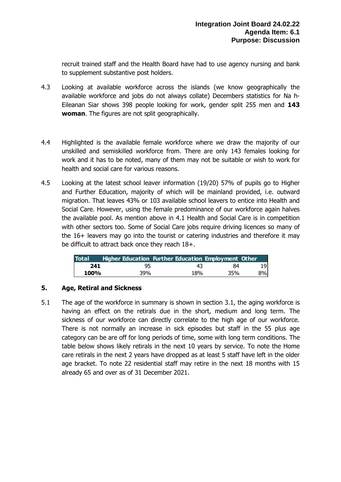recruit trained staff and the Health Board have had to use agency nursing and bank to supplement substantive post holders.

- 4.3 Looking at available workforce across the islands (we know geographically the available workforce and jobs do not always collate) Decembers statistics for Na h-Eileanan Siar shows 398 people looking for work, gender split 255 men and **143 woman**. The figures are not split geographically.
- 4.4 Highlighted is the available female workforce where we draw the majority of our unskilled and semiskilled workforce from. There are only 143 females looking for work and it has to be noted, many of them may not be suitable or wish to work for health and social care for various reasons.
- 4.5 Looking at the latest school leaver information (19/20) 57% of pupils go to Higher and Further Education, majority of which will be mainland provided, i.e. outward migration. That leaves 43% or 103 available school leavers to entice into Health and Social Care. However, using the female predominance of our workforce again halves the available pool. As mention above in 4.1 Health and Social Care is in competition with other sectors too. Some of Social Care jobs require driving licences so many of the 16+ leavers may go into the tourist or catering industries and therefore it may be difficult to attract back once they reach 18+.

| <b>Total</b> |     | Higher Education Further Education Employment Other |     |     |
|--------------|-----|-----------------------------------------------------|-----|-----|
| 241          | 95  | 43                                                  | 84  | 191 |
| 100%         | 39% | 18%                                                 | 35% | 8%I |

## **5. Age, Retiral and Sickness**

5.1 The age of the workforce in summary is shown in section 3.1, the aging workforce is having an effect on the retirals due in the short, medium and long term. The sickness of our workforce can directly correlate to the high age of our workforce. There is not normally an increase in sick episodes but staff in the 55 plus age category can be are off for long periods of time, some with long term conditions. The table below shows likely retirals in the next 10 years by service. To note the Home care retirals in the next 2 years have dropped as at least 5 staff have left in the older age bracket. To note 22 residential staff may retire in the next 18 months with 15 already 65 and over as of 31 December 2021.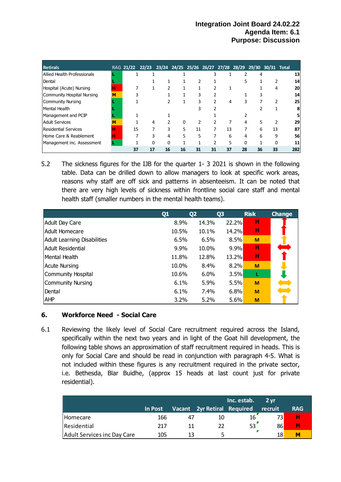| <b>Retirals</b>             |   |    | RAG 21/22 22/23 23/24 24/25 25/26 26/27 27/28 28/29 29/30 30/31 Total |    |    |    |    |    |    |    |    |     |
|-----------------------------|---|----|-----------------------------------------------------------------------|----|----|----|----|----|----|----|----|-----|
| Allied Health Professionals |   |    |                                                                       |    |    |    |    |    |    | 4  |    | 13  |
| Dental                      |   |    |                                                                       |    |    |    |    |    |    |    |    | 14  |
| Hospital (Acute) Nursing    | н |    |                                                                       |    |    |    |    |    |    |    | 4  | 20  |
| Community Hospital Nursing  | М |    |                                                                       |    |    | 3  |    |    |    |    |    | 14  |
| <b>Community Nursing</b>    |   |    |                                                                       |    |    |    |    | 4  |    |    |    | 25  |
| Mental Health               |   |    |                                                                       |    |    |    |    |    |    |    |    | 8   |
| Management and PCIP         |   |    |                                                                       |    |    |    |    |    |    |    |    | 5   |
| <b>Adult Services</b>       | М |    | 4                                                                     |    | 0  |    |    |    |    | 5  |    | 29  |
| Residential Services        | н | 15 |                                                                       |    | 5  | 11 |    | 13 |    | 6  | 13 | 87  |
| Home Care & Reablement      | н |    |                                                                       |    | 5  | 5  |    | 6  |    | 6  | q  | 56  |
| Management inc. Assessment  |   |    | 0                                                                     | O  |    | 1  |    | 5  | ŋ  |    |    | 11  |
|                             |   | 37 | 17                                                                    | 16 | 16 | 31 | 31 | 37 | 28 | 36 | 33 | 282 |

5.2 The sickness figures for the IJB for the quarter 1- 3 2021 is shown in the following table. Data can be drilled down to allow managers to look at specific work areas, reasons why staff are off sick and patterns in absenteeism. It can be noted that there are very high levels of sickness within frontline social care staff and mental health staff (smaller numbers in the mental health teams).

|                                    | Q <sub>1</sub> | Q <sub>2</sub> | Q <sub>3</sub> | <b>Risk</b> | <b>Change</b> |
|------------------------------------|----------------|----------------|----------------|-------------|---------------|
| <b>Adult Day Care</b>              | 8.9%           | 14.3%          | 22.2%          | н           |               |
| Adult Homecare                     | 10.5%          | 10.1%          | 14.2%          | н           |               |
| <b>Adult Learning Disabilities</b> | 6.5%           | 6.5%           | 8.5%           | M           |               |
| <b>Adult Residential</b>           | 9.9%           | 10.0%          | 9.9%           | н           |               |
| lMental Health                     | 11.8%          | 12.8%          | 13.2%          | н           |               |
| <b>Acute Nursing</b>               | 10.0%          | 8.4%           | 8.2%           | M           |               |
| Community Hospital                 | 10.6%          | 6.0%           | 3.5%           | L           |               |
| Community Nursing                  | 6.1%           | 5.9%           | 5.5%           | M           |               |
| Dental                             | 6.1%           | $7.4\%$        | 6.8%           | M           |               |
| <b>AHP</b>                         | 3.2%           | 5.2%           | 5.6%           | M           |               |

## **6. Workforce Need - Social Care**

6.1 Reviewing the likely level of Social Care recruitment required across the Island, specifically within the next two years and in light of the Goat hill development, the following table shows an approximation of staff recruitment required in heads. This is only for Social Care and should be read in conjunction with paragraph 4-5. What is not included within these figures is any recruitment required in the private sector, i.e. Bethesda, Blar Buidhe, (approx 15 heads at last count just for private residential).

|                             |         |    |                             | Inc. estab. | 2 vr    |            |
|-----------------------------|---------|----|-----------------------------|-------------|---------|------------|
|                             | In Post |    | Vacant 2yr Retiral Required |             | recruit | <b>RAG</b> |
| <b>Homecare</b>             | 166     | 47 | 10                          | 16          | 73)     |            |
| Residential                 | 217     | 11 |                             | 53          | 86      | н          |
| Adult Services inc Day Care | 105     | 13 | ∽                           |             | 18      | M          |